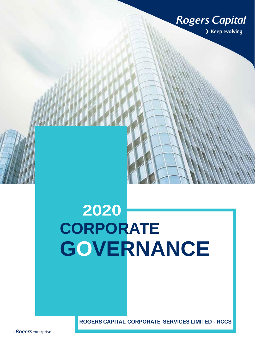

## **2020 CORPORATE GOVERNANCE**

 **ROGERS CAPITAL CORPORATE SERVICES LIMITED - RCCS**

a Rogers enterprise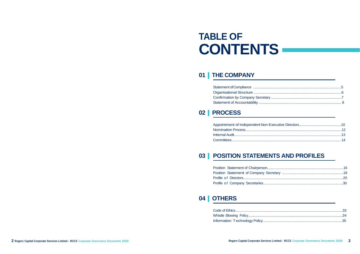### **TABLE OF CONTENTS**

### 01 | THE COMPANY

### 02 | PROCESS

| Appointment of Independent Non-Exe |
|------------------------------------|
|                                    |
|                                    |
|                                    |

### 03 | POSITION STATEMENTS AND PROFILES

### 04 | OTHERS

| Information Technology Policy |
|-------------------------------|

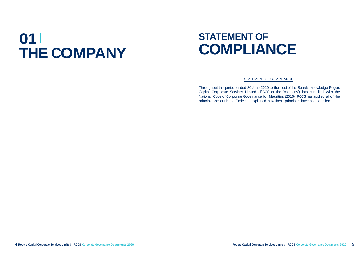# **01 THE COMPANY**

### **STATEMENT OF COMPLIANCE**

#### STATEMENT OF COMPLIANCE

Throughout the period ended 30 June 2020 to the best of the Board's knowledge Rogers Capital Corporate Services Limited ('RCCS or the 'company') has compiled with the National Code of Corporate Governance for Mauritius (2016). RCCS has applied all of the principles setoutin the Code and explained how these principles have been applied.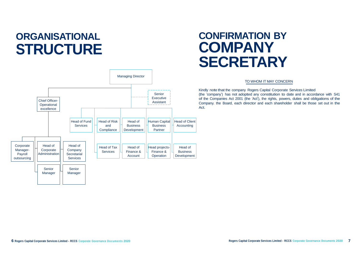### **ORGANISATIONAL STRUCTURE**

### **CONFIRMATION BY COMPANY SECRETARY**

#### TO WHOM IT MAY CONCERN

Kindly note that the company Rogers Capital Corporate Services Limited (the 'company') has not adopted any constitution to date and in accordance with S41 of the Companies Act 2001 (the 'Act'), the rights, powers, duties and obligations of the Company. the Board, each director and each shareholder shall be those set out in the Act.



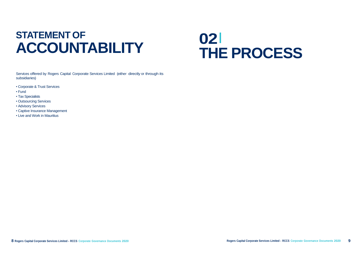## **ACCOUNTABILITY OPPORTMENT OF<br>
STATEMENT OF**<br> **A CCOLUNITA DILITY**

# **THE PROCESS**

Services offered by Rogers Capital Corporate Services Limited (either directly or through its subsidiaries)

- Corporate & Trust Services
- Fund
- Tax Specialists
- Outsourcing Services
- Advisory Services
- Captive Insurance Management
- Live and Work in Mauritius

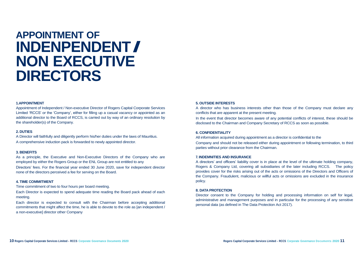## **APPOINTMENT OF INDENPENDENT/ NON EXECUTIVE DIRECTORS**

#### **1.APPOINTMENT**

Appointment of Independent / Non-executive Director of Rogers Capital Corporate Services Limited 'RCCS' or the 'Company', either for filling up a casual vacancy or appointed as an additional director to the Board of RCCS, is carried out by way of an ordinary resolution by the shareholder(s) of the Company.

#### **2. DUTIES**

A Director will faithfully and diligently perform his/her duties under the laws of Mauritius. A comprehensive induction pack is forwarded to newly appointed director.

#### **3. BENEFITS**

As a principle, the Executive and Non-Executive Directors of the Company who are employed by either the Rogers Group or the ENL Group are not entitled to any Directors' fees. For the financial year ended 30 June 2020, save for independent director none of the directors perceived a fee for serving on the Board.

#### **4. TIME COMMITMENT**

Time commitment of two to four hours per board meeting.

Each Director is expected to spend adequate time reading the Board pack ahead of each meeting.

Each director is expected to consult with the Chairman before accepting additional commitments that might affect the time, he is able to devote to the role as [an independent / a non-executive] director other Company

#### **5. OUTSIDE INTERESTS**

A director who has business interests other than those of the Company must declare any conflicts that are apparent at the present meeting. In the event that director becomes aware of any potential conflicts of interest, these should be disclosed to the Chairman and Company Secretary of RCCS as soon as possible.

#### **6. CONFIDENTIALITY**

All information acquired during appointment as a director is confidential to the Company and should not be released either during appointment or following termination, to third parties without prior clearance from the Chairman.

#### **7. INDEMNITIES AND INSURANCE**

A directors' and officers' liability cover is in place at the level of the ultimate holding company, Rogers & Company Ltd, covering all subsidiaries of the later including RCCS. The policy provides cover for the risks arising out of the acts or omissions of the Directors and Officers of the Company. Fraudulent, malicious or willful acts or omissions are excluded in the insurance policy.

#### **8. DATA PROTECTION**

Director consent to the Company for holding and processing information on self for legal, administrative and management purposes and in particular for the processing of any sensitive personal data (as defined in The Data Protection Act 2017).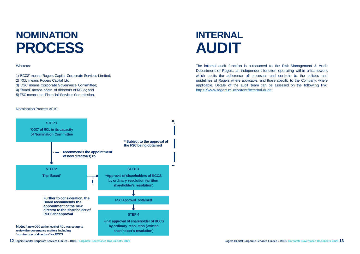### **NOMINATION PROCESS**

### **INTERNAL AUDIT**

#### Whereas:

- 1) 'RCCS' means Rogers Capital Corporate Services Limited;
- 2) 'RCL' means Rogers Capital Ltd;
- 3) 'CGC' means Corporate Governance Committee;
- 4) 'Board' means board of directors of RCCS; and
- 5) FSC means the Financial Services Commission.

The internal audit function is outsourced to the Risk Management & Audit Department of Rogers, an independent function operating within <sup>a</sup> framework which audits the adherence of processes and controls to the policies and guidelines of Rogers where applicable, and those specific to the Company, where applicable. Details of the audit team can be assessed on the following link: https:[//www.rogers.mu/content/internal-audit](http://www.rogers.mu/content/internal-audit)

Nomination Process AS IS:

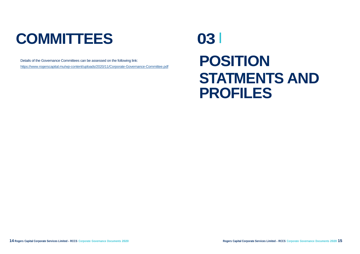# **COMMITTEES 03**

# **POSITION STATMENTS AND PROFILES**



Details of the Governance Committees can be assessed on the following link: <https://www.rogerscapital.mu/wp-content/uploads/2020/11/Corporate-Governance-Committee.pdf>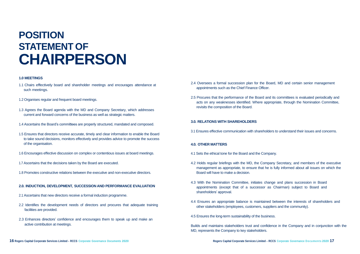### **POSITION STATEMENT OF CHAIRPERSON**

#### **1.0 MEETINGS**

- 1.1 Chairs effectively board and shareholder meetings and encourages attendance at such meetings.
- 1.2 Organises regular and frequent board meetings.
- 1.3 Agrees the Board agenda with the MD and Company Secretary, which addresses current and forward concerns of the business as well as strategic matters.
- 1.4 Ascertains the Board's committees are properly structured, mandated and composed.
- 1.5 Ensures that directors receive accurate, timely and clear information to enable the Board to take sound decisions, monitors effectively and provides advice to promote the success of the organisation.
- 1.6 Encourages effective discussion on complex or contentious issues at board meetings.
- 1.7 Ascertains that the decisions taken by the Board are executed.
- 1.8 Promotes constructive relations between the executive and non-executive directors.

#### **2.0. INDUCTION, DEVELOPMENT, SUCCESSION AND PERFORMANCE EVALUATION**

- 2.1 Ascertains that new directors receive a formal induction programme.
- 2.2 Identifies the development needs of directors and procures that adequate training facilities are provided.
- 2.3 Enhances directors' confidence and encourages them to speak up and make an active contribution at meetings.
- 2.4 Oversees a formal succession plan for the Board, MD and certain senior management appointments such as the Chief Finance Officer.
- 2.5 Procures that the performance of the Board and its committees is evaluated periodically and acts on any weaknesses identified. Where appropriate, through the Nomination Committee, revisits the composition of the Board.

#### **3.0. RELATIONS WITH SHAREHOLDERS**

3.1 Ensures effective communication with shareholders to understand their issues and concerns.

#### **4.0. OTHER MATTERS**

- 4.1 Sets the ethical tone for the Board and the Company.
- 4.2 Holds regular briefings with the MD, the Company Secretary, and members of the executive management as appropriate, to ensure that he is fully informed about all issues on which the Board will have to make a decision.
- 4.3 With the Nomination Committee, initiates change and plans succession in Board appointments (except that of a successor as Chairman) subject to Board and shareholders' approval.
- 4.4 Ensures an appropriate balance is maintained between the interests of shareholders and other stakeholders (employees, customers, suppliers and the community).
- 4.5 Ensures the long-term sustainability of the business.

Builds and maintains stakeholders trust and confidence in the Company and in conjunction with the MD, represents the Company to key stakeholders.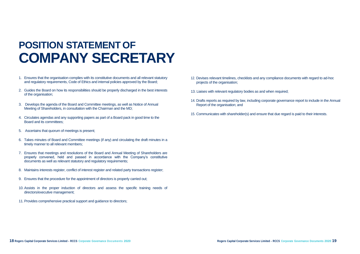### **POSITION STATEMENT OF COMPANY SECRETARY**

- 1. Ensures that the organisation complies with its constitutive documents and all relevant statutory and regulatory requirements, Code of Ethics and internal policies approved by the Board;
- 2. Guides the Board on how its responsibilities should be properly discharged in the best interests of the organisation;
- 3. Develops the agenda of the Board and Committee meetings, as well as Notice of Annual Meeting of Shareholders, in consultation with the Chairman and the MD;
- 4. Circulates agendas and any supporting papers as part of a Board pack in good time to the Board and its committees;
- 5. Ascertains that quorum of meetings is present;
- 6. Takes minutes of Board and Committee meetings (if any) and circulating the draft minutes in a timely manner to all relevant members;
- 7. Ensures that meetings and resolutions of the Board and Annual Meeting of Shareholders are properly convened, held and passed in accordance with the Company's constitutive documents as well as relevant statutory and regulatory requirements;
- 8. Maintains interests register, conflict of interest register and related party transactions register;
- 9. Ensures that the procedure for the appointment of directors is properly carried out;
- 10.Assists in the proper induction of directors and assess the specific training needs of directors/executive management;
- 11.Provides comprehensive practical support and guidance to directors;
- 12. Devises relevant timelines, checklists and any compliance documents with regard to ad-hoc projects of the organisation;
- 13. Liaises with relevant regulatory bodies as and when required;
- 14. Drafts reports as required by law, including corporate governance report to include in the Annual Report of the organisation; and
- 15. Communicates with shareholder(s) and ensure that due regard is paid to their interests.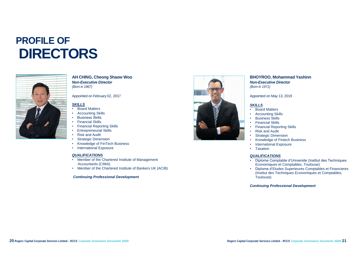## **PROFILE OF DIRECTORS**



#### **AH CHING, Cheong Shaow Woo** *Non-Executive Director (Born in 1967)*

Appointed on February 02, 2017

#### *SKILLS*

- Board Matters
- Accounting Skills
- Business Skills
- **Financial Skills**
- Financial Reporting Skills
- Entrepreneurial Skills
- Risk and Audit
- Strategic Dimension
- Knowledge of FinTech Business
- International Exposure

#### *QUALIFICATIONS*

- Member of the Chartered Institute of Management Accountants (CIMA)
- Member of the Chartered Institute of Bankers UK (ACIB)

#### *Continuing Professional Development*



### **BHOYROO, Mohammad Yashinn**

### *Non-Executive Director (Born in 1971)*

Appointed on May 13, 2019

#### *SKILLS*

- Board Matters
- Business Skills
- **Financial Skills**
- 
- Risk and Audit
- 
- 
- 
- Taxation

• Accounting Skills • Financial Reporting Skills **Strategic Dimension** • Knowledge of Fintech Business • International Exposure

#### *QUALIFICATIONS*

• Diplome Comptable d'Universite (Institut des Techniques Economiques et Comptables, Toulouse) • Diplome d'Etudes Superieures Comptables et Financieres (Institut des Techniques Economiques et Comptables,

- 
- 
- Toulouse)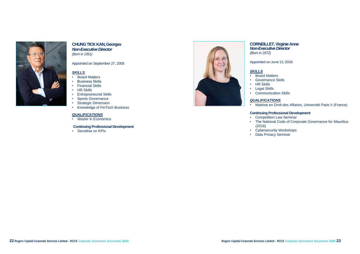

#### **CHUNG TICK KAN, Georges** *Non-Executive Director (Born in 1951)*

Appointed on September 27, 2005

#### *SKILLS*

- Board Matters
- Governance Skills
- HR Skills
- Legal Skills
- 
- Board Matters
- **Business Skills**
- Financial Skills
- HR Skills
- Entrepreneurial Skills
- Sports Governance
- Strategic Dimension
- Knowledge of FinTech Business

#### *QUALIFICATIONS*

• Master in Economics

#### **Continuing Professional Development**

• Sensitise on KPIs



#### **CORNEILLET, Virginie Anne** *Non-Executive Director*

*(Born in 1972)*

Appointed on June 13, 2016

#### *SKILLS*

• Communication Skills

#### *QUALIFICATIONS*

• Maitrise en Droit des Affaires, Université Paris V (France)

#### **Continuing Professional Development**

• Competition Law Seminar • The National Code of Corporate Governance for Mauritius

• Cybersecurity Workshops

- 
- (2016)
	-
- Data Privacy Seminar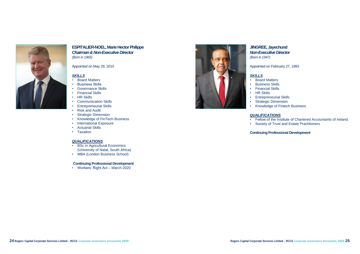

#### **ESPITALIER-NOEL, Marie Hector Philippe** *Chairman & Non-Executive Director (Born in 1965)*

Appointed on May 29, 2015

#### *SKILLS*

- Board Matters
- Business Skills
- Governance Skills
- Financial Skills
- HR Skills
- Communication Skills
- **Entrepreneurial Skills**
- Risk and Audit
- Strategic Dimension
- Knowledge of FinTech Business
- International Exposure
- Actuarial Skills
- Taxation

• Fellow of the Institute of Chartered Accountants of Ireland. • Society of Trust and Estate Practitioners

#### *QUALIFICATIONS*

- BSc in Agricultural Economics (University of Natal, South Africa)
- MBA (London Business School)

#### **Continuing Professional Development**

• Workers' Right Act – March 2020



#### **JINGREE, Jayechund** *Non-Executive Director (Born in 1947)*

Appointed on February 27, 1993

#### *SKILLS*

- Board Matters
- Business Skills
- Financial Skills • HR Skills
- 
- 
- 

• Entrepreneurial Skills • Strategic Dimension • Knowledge of Fintech Business

#### *QUALIFICATIONS*

- 
-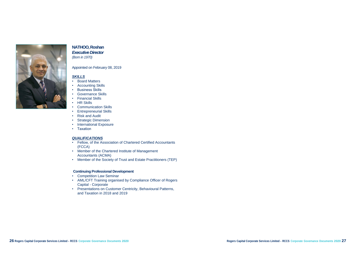

#### **NATHOO, Roshan** *Executive Director (Born in 1970)*

Appointed on February 08, 2019

#### *SKILLS*

- Board Matters
- **Accounting Skills**
- Business Skills
- Governance Skills
- Financial Skills
- HR Skills
- Communication Skills
- Entrepreneurial Skills
- Risk and Audit
- Strategic Dimension
- International Exposure
- Taxation

#### *QUALIFICATIONS*

- Fellow, of the Association of Chartered Certified Accountants (FCCA)
- Member of the Chartered Institute of Management Accountants (ACMA)
- Member of the Society of Trust and Estate Practitioners (TEP)

- Competition Law Seminar
- AML/CFT Training organised by Compliance Officer of Rogers Capital - Corporate
- Presentations on Customer Centricity, Behavioural Patterns, and Taxation in 2018 and 2019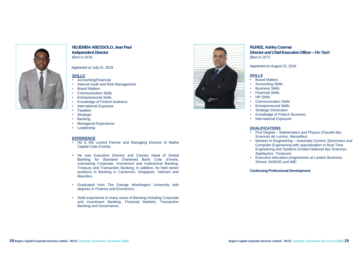

#### **NDJEMBA ABESSOLO, JeanPaul** *Independent Director*

*(Born in 1974)*

#### Appointed on July 01, 2019

#### *SKILLS*

- Accounting/Financial
- Internal Audit and Risk Management
- Board Matters
- Communication Skills
- Entrepreneurial Skills
- Knowledge of Fintech business
- International Exposure
- Taxation
- Strategic
- **Banking**
- Managerial Experience
- Leadership

#### *EXPERIENCE*

**Entrepreneurial Skills Strategic Dimension** • Knowledge of Fintech Business • International Exposure

- He is the current Partner and Managing Director of Matha Capital Cote d'Ivoire;
- He was Executive Director and Country Head of Global Banking for Standard Chartered Bank Cote d'Ivoire, overseeing Corporate, Investment and Institutional Banking, Treasury and Transaction Banking; In addition, he held senior positions in Banking in Cameroon, Singapore, Vietnam and Mauritius.
- Graduated from The George Washington University with degrees in Finance and Economics;
- Solid experience in many areas of Banking including Corporate and Investment Banking, Financial Markets, Transaction Banking and Governance;



#### **RUHEE, Ashley Coomar Director and Chief Executive Officer – Fin Tech** *(Born in 1977)*

Appointed on August 22, 2019

#### *SKILLS*

• Business Skills

- Board Matters
- Accounting Skills
- Financial Skills
- HR Skills
- Communication Skills
- 
- 
- 
- 

#### *QUALIFICATIONS*

- -
- 

• First Degree – Mathematics and Physics (Faculté des Sciences de Luminy, Marseilles) • Masters In Engineering – Automatic Control, Electronics and Computer Engineering with specialisation in Real Time Engineering and Systems (Institut National des Sciences Appliquées, Toulouse) • Executive education programmes at London Business School, INSEAD and IMD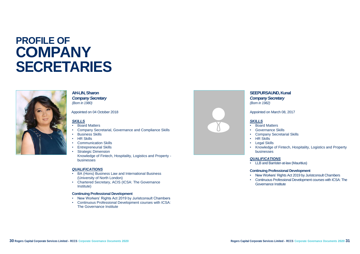### **PROFILE OF COMPANY SECRETARIES**



#### **AH-LIN, Sharon**

*Company Secretary (Born in 1980)*

#### Appointed on 04 October 2018

#### *SKILLS*

- Board Matters
- Company Secretarial, Governance and Compliance Skills
- **Business Skills**
- HR Skills
- Communication Skills
- Entrepreneurial Skills
- **Strategic Dimension** Knowledge of Fintech, Hospitality, Logistics and Property businesses

#### *QUALIFICATIONS*

- BA (Hons) Business Law and International Business (University of North London)
- Chartered Secretary, ACIS (ICSA: The Governance Institute)

#### **Continuing Professional Development**

- New Workers' Rights Act 2019 by Juristconsult Chambers
- Continuous Professional Development courses with ICSA: The Governance Institute



#### **SEEPURSAUND, Kunal** *Company Secretary*

*(Born in 1982)*

Appointed on March 08, 2017

#### *SKILLS*

• Company Secretarial Skills

- Board Matters
- Governance Skills
- 
- HR Skills
- Legal Skills
- businesses

• Knowledge of Fintech, Hospitality, Logistics and Property

#### *QUALIFICATIONS*

• LLB and Barrister-at-law (Mauritius)

#### **Continuing Professional Development**

• New Workers' Rights Act 2019 by Juristconsult Chambers • Continuous Professional Development courses with ICSA: The

- 
- Governance Institute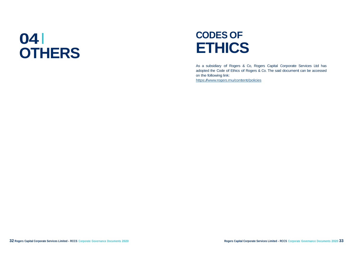# **04 OTHERS**

### **CODES OF ETHICS**

As <sup>a</sup> subsidiary of Rogers & Co, Rogers Capital Corporate Services Ltd has adopted the Code of Ethics of Rogers & Co. The said document can be accessed on the following link: https:[//www.rogers.mu/content/policies](http://www.rogers.mu/content/policies)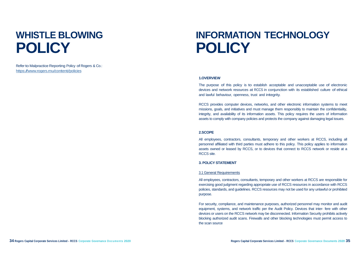Refer to Malpractice Reporting Policy of Rogers & Co.: https:[//www.rogers.mu/content/policies](http://www.rogers.mu/content/policies)

### **WHISTLE BLOWING POLICY**

### **INFORMATION TECHNOLOGY POLICY**

#### **1.OVERVIEW**

The purpose of this policy is to establish acceptable and unacceptable use of electronic devices and network resources at RCCS in conjunction with its established culture of ethical and lawful behaviour, openness, trust and integrity.

RCCS provides computer devices, networks, and other electronic information systems to meet missions, goals, and initiatives and must manage them responsibly to maintain the confidentiality, integrity, and availability of its information assets. This policy requires the users of information assets to comply with company policies and protects the company against damaging legal issues.

#### **2.SCOPE**

All employees, contractors, consultants, temporary and other workers at RCCS, including all personnel affiliated with third parties must adhere to this policy. This policy applies to information assets owned or leased by RCCS, or to devices that connect to RCCS network or reside at a RCCS site.

#### **3. POLICY STATEMENT**

#### 3.1 General Requirements

All employees, contractors, consultants, temporary and other workers at RCCS are responsible for exercising good judgment regarding appropriate use of RCCS resources in accordance with RCCS policies, standards, and guidelines. RCCS resources may not be used for any unlawful or prohibited purpose.

For security, compliance, and maintenance purposes, authorized personnel may monitor and audit equipment, systems, and network traffic per the Audit Policy. Devices that inter- fere with other devices or users on the RCCS network may be disconnected. Information Security prohibits actively blocking authorized audit scans. Firewalls and other blocking technologies must permit access to the scan source